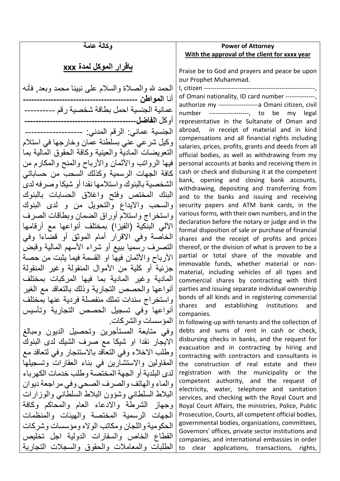## **وكالة عامة**

## **باقرار الموكل لمدة xxx**

الحمد لله والصلاة والسلام على نبينا محمد وبعد, فأنه أنا **المواطن -----------------------------------------** عمانیة الجنسیة احمل بطاقة شخصیة رقم ---------- أوكل **الفاضل----------------------------------------** الجنسیة عماني: الرقم المدني: ------------------- وكیل شرعي عني بسلطنة عمان وخارجھا في استلام التعویضات المادیة والعینیة وكافة الحقوق المالیة بما فیھا الرواتب والأثمان والأرباح والمنح والمكارم من كافة الجھات الرسمیة وكذلك السحب من حساباتي الشخصیة بالبنوك واستلامھا نقدا أو شیكا وصرفھ لدى البنك المختص وفتح واغلاق الحسابات بالبنوك والسحب والایداع والتحویل من و لدى البنوك واستخراج واستلام أوراق الضمان وبطاقات الصرف الآلي البنكیة (الفیزا) بمختلف أنواعھا مع أرقامھا الخاصة وفي الاقرار أمام الموثق أو قضاءا وفي التصرف رسمیا ببیع أو شراء الأسھم المالیة وقبض الأرباح والأثمان فیھا او القسمة فیما یثبت من حصة جزئیة أو كلیة من الأموال المنقولة وغیر المنقولة المادیة وغیر المادیة بما فیھا المركبات بمختلف أنواعھا والحصص التجاریة وذلك بالتعاقد مع الغیر واستخراج سندات تملك منفصلة فردیة عنھا بمختلف أنواعھا وفي تسجیل الحصص التجاریة وتأسیس المؤسسات والشركات. وفي متابعة المستأجرین وتحصیل الدیون ومبالغ الایجار نقدا او شیكا مع صرف الشیك لدى البنوك وطلب الاخلاء وفي التعاقد بالاستئجار وفي لتعاقد مع المقاولین والاستشارین في بناء العقارات وتسجیلھا لدى البلدیة أو الجھة المختصة وطلب خدمات الكھرباء والماء والھاتف والصرف الصحي وفي مراجعة دیوان البلاط السلطاني وشؤون البلاط السلطاني والوزارات وجھاز الشرطة والادعاء العام والمحاكم وكافة الجھات الرسمیة المختصة والھیئات والمنظمات الحكومیة واللجان ومكاتب الولاه ومؤسسات وشركات القطاع الخاص والسفارات الدولیة اجل تخلیص الطلبات والمعاملات والحقوق والسجلات التجاریة

## **Power of Attorney With the approval of the client for xxxx year**

Praise be to God and prayers and peace be upon our Prophet Muhammad.

I, citizen -----------------------------------------------------, of Omani nationality, ID card number --------------, authorize my -------------------a Omani citizen, civil number -------------------, to be my legal representative in the Sultanate of Oman and abroad, in receipt of material and in kind compensations and all financial rights including salaries, prices, profits, grants and deeds from all official bodies, as well as withdrawing from my personal accounts at banks and receiving them in cash or check and disbursing it at the competent bank, opening and closing bank accounts, withdrawing, depositing and transferring from and to the banks and issuing and receiving security papers and ATM bank cards, in the various forms, with their own numbers, and in the declaration before the notary or judge and in the formal disposition of sale or purchase of financial shares and the receipt of profits and prices thereof, or the division of what is proven to be a partial or total share of the movable and immovable funds, whether material or nonmaterial, including vehicles of all types and commercial shares by contracting with third parties and issuing separate individual ownership bonds of all kinds and in registering commercial shares and establishing institutions and companies.

In following-up with tenants and the collection of debts and sums of rent in cash or check, disbursing checks in banks, and the request for evacuation and in contracting by hiring and contracting with contractors and consultants in the construction of real estate and their registration with the municipality or the competent authority, and the request of electricity, water, telephone and sanitation services, and checking with the Royal Court and Royal Court Affairs, the ministries, Police, Public Prosecution, Courts, all competent official bodies, governmental bodies, organizations, committees, Governors' offices, private sector institutions and companies, and international embassies in order to clear applications, transactions, rights,